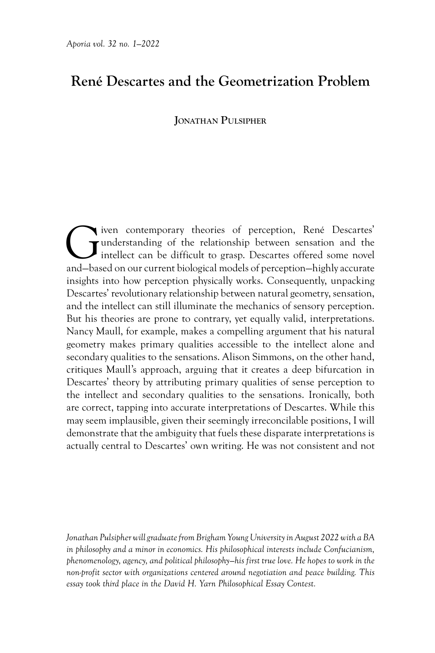# **René Descartes and the Geometrization Problem**

## **Jonathan Pulsipher**

Given contemporary theories of perception, René Descartes' understanding of the relationship between sensation and the intellect can be difficult to grasp. Descartes offered some novel and-based on our current biological m understanding of the relationship between sensation and the intellect can be difficult to grasp. Descartes offered some novel and—based on our current biological models of perception—highly accurate insights into how perception physically works. Consequently, unpacking Descartes' revolutionary relationship between natural geometry, sensation, and the intellect can still illuminate the mechanics of sensory perception. But his theories are prone to contrary, yet equally valid, interpretations. Nancy Maull, for example, makes a compelling argument that his natural geometry makes primary qualities accessible to the intellect alone and secondary qualities to the sensations. Alison Simmons, on the other hand, critiques Maull's approach, arguing that it creates a deep bifurcation in Descartes' theory by attributing primary qualities of sense perception to the intellect and secondary qualities to the sensations. Ironically, both are correct, tapping into accurate interpretations of Descartes. While this may seem implausible, given their seemingly irreconcilable positions, I will demonstrate that the ambiguity that fuels these disparate interpretations is actually central to Descartes' own writing. He was not consistent and not

*Jonathan Pulsipher will graduate from Brigham Young University in August 2022 with a BA in philosophy and a minor in economics. His philosophical interests include Confucianism, phenomenology, agency, and political philosophy—his first true love. He hopes to work in the non-profit sector with organizations centered around negotiation and peace building. This essay took third place in the David H. Yarn Philosophical Essay Contest.*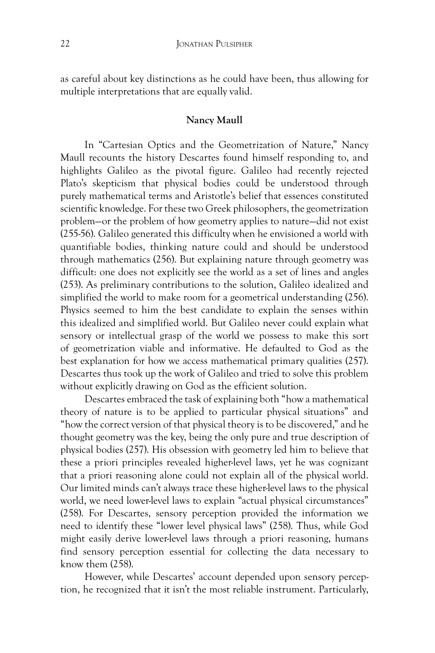as careful about key distinctions as he could have been, thus allowing for multiple interpretations that are equally valid.

#### **Nancy Maull**

In "Cartesian Optics and the Geometrization of Nature," Nancy Maull recounts the history Descartes found himself responding to, and highlights Galileo as the pivotal figure. Galileo had recently rejected Plato's skepticism that physical bodies could be understood through purely mathematical terms and Aristotle's belief that essences constituted scientific knowledge. For these two Greek philosophers, the geometrization problem—or the problem of how geometry applies to nature—did not exist (255-56). Galileo generated this difficulty when he envisioned a world with quantifiable bodies, thinking nature could and should be understood through mathematics (256). But explaining nature through geometry was difficult: one does not explicitly see the world as a set of lines and angles (253). As preliminary contributions to the solution, Galileo idealized and simplified the world to make room for a geometrical understanding (256). Physics seemed to him the best candidate to explain the senses within this idealized and simplified world. But Galileo never could explain what sensory or intellectual grasp of the world we possess to make this sort of geometrization viable and informative. He defaulted to God as the best explanation for how we access mathematical primary qualities (257). Descartes thus took up the work of Galileo and tried to solve this problem without explicitly drawing on God as the efficient solution.

Descartes embraced the task of explaining both "how a mathematical theory of nature is to be applied to particular physical situations" and "how the correct version of that physical theory is to be discovered," and he thought geometry was the key, being the only pure and true description of physical bodies (257). His obsession with geometry led him to believe that these a priori principles revealed higher-level laws, yet he was cognizant that a priori reasoning alone could not explain all of the physical world. Our limited minds can't always trace these higher-level laws to the physical world, we need lower-level laws to explain "actual physical circumstances" (258). For Descartes, sensory perception provided the information we need to identify these "lower level physical laws" (258). Thus, while God might easily derive lower-level laws through a priori reasoning, humans find sensory perception essential for collecting the data necessary to know them (258).

However, while Descartes' account depended upon sensory perception, he recognized that it isn't the most reliable instrument. Particularly,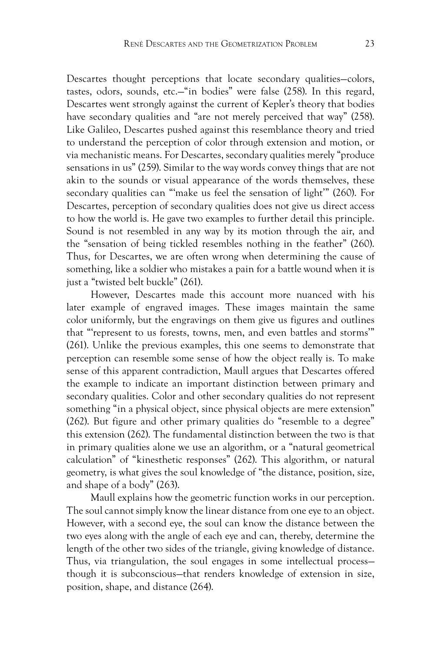Descartes thought perceptions that locate secondary qualities—colors, tastes, odors, sounds, etc.—"in bodies" were false (258). In this regard, Descartes went strongly against the current of Kepler's theory that bodies have secondary qualities and "are not merely perceived that way" (258). Like Galileo, Descartes pushed against this resemblance theory and tried to understand the perception of color through extension and motion, or via mechanistic means. For Descartes, secondary qualities merely "produce sensations in us" (259). Similar to the way words convey things that are not akin to the sounds or visual appearance of the words themselves, these secondary qualities can "'make us feel the sensation of light'" (260). For Descartes, perception of secondary qualities does not give us direct access to how the world is. He gave two examples to further detail this principle. Sound is not resembled in any way by its motion through the air, and the "sensation of being tickled resembles nothing in the feather" (260). Thus, for Descartes, we are often wrong when determining the cause of something, like a soldier who mistakes a pain for a battle wound when it is just a "twisted belt buckle" (261).

However, Descartes made this account more nuanced with his later example of engraved images. These images maintain the same color uniformly, but the engravings on them give us figures and outlines that "'represent to us forests, towns, men, and even battles and storms'" (261). Unlike the previous examples, this one seems to demonstrate that perception can resemble some sense of how the object really is. To make sense of this apparent contradiction, Maull argues that Descartes offered the example to indicate an important distinction between primary and secondary qualities. Color and other secondary qualities do not represent something "in a physical object, since physical objects are mere extension" (262). But figure and other primary qualities do "resemble to a degree" this extension (262). The fundamental distinction between the two is that in primary qualities alone we use an algorithm, or a "natural geometrical calculation" of "kinesthetic responses" (262). This algorithm, or natural geometry, is what gives the soul knowledge of "the distance, position, size, and shape of a body" (263).

Maull explains how the geometric function works in our perception. The soul cannot simply know the linear distance from one eye to an object. However, with a second eye, the soul can know the distance between the two eyes along with the angle of each eye and can, thereby, determine the length of the other two sides of the triangle, giving knowledge of distance. Thus, via triangulation, the soul engages in some intellectual process though it is subconscious—that renders knowledge of extension in size, position, shape, and distance (264).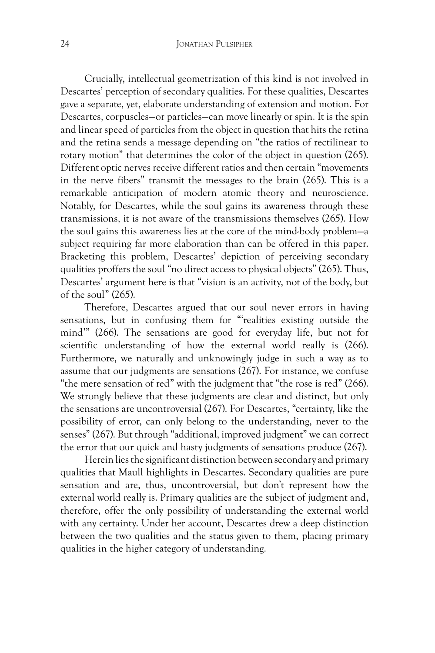Crucially, intellectual geometrization of this kind is not involved in Descartes' perception of secondary qualities. For these qualities, Descartes gave a separate, yet, elaborate understanding of extension and motion. For Descartes, corpuscles—or particles—can move linearly or spin. It is the spin and linear speed of particles from the object in question that hits the retina and the retina sends a message depending on "the ratios of rectilinear to rotary motion" that determines the color of the object in question (265). Different optic nerves receive different ratios and then certain "movements in the nerve fibers" transmit the messages to the brain (265). This is a remarkable anticipation of modern atomic theory and neuroscience. Notably, for Descartes, while the soul gains its awareness through these transmissions, it is not aware of the transmissions themselves (265). How the soul gains this awareness lies at the core of the mind-body problem—a subject requiring far more elaboration than can be offered in this paper. Bracketing this problem, Descartes' depiction of perceiving secondary qualities proffers the soul "no direct access to physical objects" (265). Thus, Descartes' argument here is that "vision is an activity, not of the body, but of the soul" (265).

Therefore, Descartes argued that our soul never errors in having sensations, but in confusing them for "'realities existing outside the mind'" (266). The sensations are good for everyday life, but not for scientific understanding of how the external world really is (266). Furthermore, we naturally and unknowingly judge in such a way as to assume that our judgments are sensations (267). For instance, we confuse "the mere sensation of red" with the judgment that "the rose is red" (266). We strongly believe that these judgments are clear and distinct, but only the sensations are uncontroversial (267). For Descartes, "certainty, like the possibility of error, can only belong to the understanding, never to the senses" (267). But through "additional, improved judgment" we can correct the error that our quick and hasty judgments of sensations produce (267).

Herein lies the significant distinction between secondary and primary qualities that Maull highlights in Descartes. Secondary qualities are pure sensation and are, thus, uncontroversial, but don't represent how the external world really is. Primary qualities are the subject of judgment and, therefore, offer the only possibility of understanding the external world with any certainty. Under her account, Descartes drew a deep distinction between the two qualities and the status given to them, placing primary qualities in the higher category of understanding.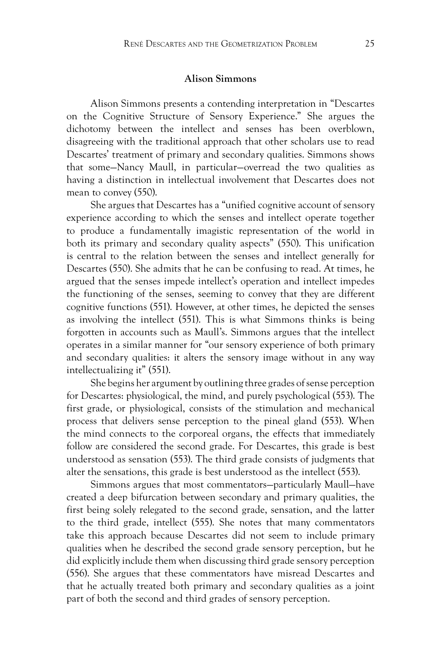#### **Alison Simmons**

Alison Simmons presents a contending interpretation in "Descartes on the Cognitive Structure of Sensory Experience." She argues the dichotomy between the intellect and senses has been overblown, disagreeing with the traditional approach that other scholars use to read Descartes' treatment of primary and secondary qualities. Simmons shows that some—Nancy Maull, in particular—overread the two qualities as having a distinction in intellectual involvement that Descartes does not mean to convey (550).

She argues that Descartes has a "unified cognitive account of sensory experience according to which the senses and intellect operate together to produce a fundamentally imagistic representation of the world in both its primary and secondary quality aspects" (550). This unification is central to the relation between the senses and intellect generally for Descartes (550). She admits that he can be confusing to read. At times, he argued that the senses impede intellect's operation and intellect impedes the functioning of the senses, seeming to convey that they are different cognitive functions (551). However, at other times, he depicted the senses as involving the intellect (551). This is what Simmons thinks is being forgotten in accounts such as Maull's. Simmons argues that the intellect operates in a similar manner for "our sensory experience of both primary and secondary qualities: it alters the sensory image without in any way intellectualizing it" (551).

She begins her argument by outlining three grades of sense perception for Descartes: physiological, the mind, and purely psychological (553). The first grade, or physiological, consists of the stimulation and mechanical process that delivers sense perception to the pineal gland (553). When the mind connects to the corporeal organs, the effects that immediately follow are considered the second grade. For Descartes, this grade is best understood as sensation (553). The third grade consists of judgments that alter the sensations, this grade is best understood as the intellect (553).

Simmons argues that most commentators—particularly Maull—have created a deep bifurcation between secondary and primary qualities, the first being solely relegated to the second grade, sensation, and the latter to the third grade, intellect (555). She notes that many commentators take this approach because Descartes did not seem to include primary qualities when he described the second grade sensory perception, but he did explicitly include them when discussing third grade sensory perception (556). She argues that these commentators have misread Descartes and that he actually treated both primary and secondary qualities as a joint part of both the second and third grades of sensory perception.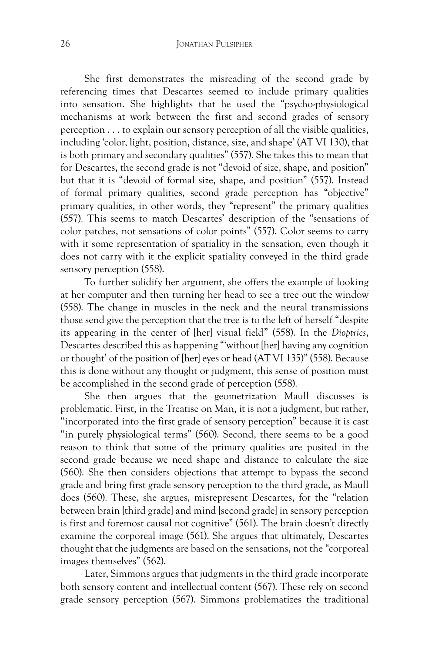She first demonstrates the misreading of the second grade by referencing times that Descartes seemed to include primary qualities into sensation. She highlights that he used the "psycho-physiological mechanisms at work between the first and second grades of sensory perception . . . to explain our sensory perception of all the visible qualities, including 'color, light, position, distance, size, and shape' (AT VI 130), that is both primary and secondary qualities" (557). She takes this to mean that for Descartes, the second grade is not "devoid of size, shape, and position" but that it is "devoid of formal size, shape, and position" (557). Instead of formal primary qualities, second grade perception has "objective" primary qualities, in other words, they "represent" the primary qualities (557). This seems to match Descartes' description of the "sensations of color patches, not sensations of color points" (557). Color seems to carry with it some representation of spatiality in the sensation, even though it does not carry with it the explicit spatiality conveyed in the third grade sensory perception (558).

To further solidify her argument, she offers the example of looking at her computer and then turning her head to see a tree out the window (558). The change in muscles in the neck and the neural transmissions those send give the perception that the tree is to the left of herself "despite its appearing in the center of [her] visual field" (558). In the *Dioptrics*, Descartes described this as happening "'without [her] having any cognition or thought' of the position of [her] eyes or head (AT VI 135)" (558). Because this is done without any thought or judgment, this sense of position must be accomplished in the second grade of perception (558).

She then argues that the geometrization Maull discusses is problematic. First, in the Treatise on Man, it is not a judgment, but rather, "incorporated into the first grade of sensory perception" because it is cast "in purely physiological terms" (560). Second, there seems to be a good reason to think that some of the primary qualities are posited in the second grade because we need shape and distance to calculate the size (560). She then considers objections that attempt to bypass the second grade and bring first grade sensory perception to the third grade, as Maull does (560). These, she argues, misrepresent Descartes, for the "relation between brain [third grade] and mind [second grade] in sensory perception is first and foremost causal not cognitive" (561). The brain doesn't directly examine the corporeal image (561). She argues that ultimately, Descartes thought that the judgments are based on the sensations, not the "corporeal images themselves" (562).

Later, Simmons argues that judgments in the third grade incorporate both sensory content and intellectual content (567). These rely on second grade sensory perception (567). Simmons problematizes the traditional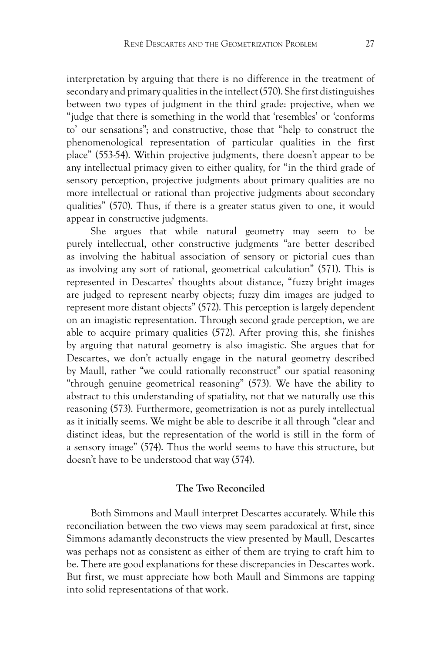interpretation by arguing that there is no difference in the treatment of secondary and primary qualities in the intellect (570). She first distinguishes between two types of judgment in the third grade: projective, when we "judge that there is something in the world that 'resembles' or 'conforms to' our sensations"; and constructive, those that "help to construct the phenomenological representation of particular qualities in the first place" (553-54). Within projective judgments, there doesn't appear to be any intellectual primacy given to either quality, for "in the third grade of sensory perception, projective judgments about primary qualities are no more intellectual or rational than projective judgments about secondary qualities" (570). Thus, if there is a greater status given to one, it would appear in constructive judgments.

She argues that while natural geometry may seem to be purely intellectual, other constructive judgments "are better described as involving the habitual association of sensory or pictorial cues than as involving any sort of rational, geometrical calculation" (571). This is represented in Descartes' thoughts about distance, "fuzzy bright images are judged to represent nearby objects; fuzzy dim images are judged to represent more distant objects" (572). This perception is largely dependent on an imagistic representation. Through second grade perception, we are able to acquire primary qualities (572). After proving this, she finishes by arguing that natural geometry is also imagistic. She argues that for Descartes, we don't actually engage in the natural geometry described by Maull, rather "we could rationally reconstruct" our spatial reasoning "through genuine geometrical reasoning" (573). We have the ability to abstract to this understanding of spatiality, not that we naturally use this reasoning (573). Furthermore, geometrization is not as purely intellectual as it initially seems. We might be able to describe it all through "clear and distinct ideas, but the representation of the world is still in the form of a sensory image" (574). Thus the world seems to have this structure, but doesn't have to be understood that way (574).

#### **The Two Reconciled**

Both Simmons and Maull interpret Descartes accurately. While this reconciliation between the two views may seem paradoxical at first, since Simmons adamantly deconstructs the view presented by Maull, Descartes was perhaps not as consistent as either of them are trying to craft him to be. There are good explanations for these discrepancies in Descartes work. But first, we must appreciate how both Maull and Simmons are tapping into solid representations of that work.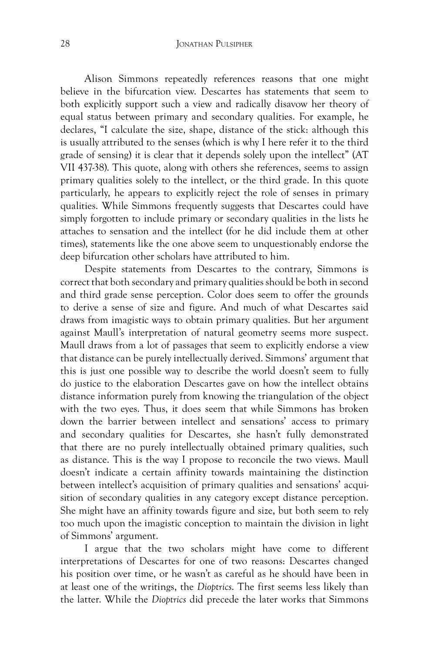#### 28 **JONATHAN PULSIPHER**

Alison Simmons repeatedly references reasons that one might believe in the bifurcation view. Descartes has statements that seem to both explicitly support such a view and radically disavow her theory of equal status between primary and secondary qualities. For example, he declares, "I calculate the size, shape, distance of the stick: although this is usually attributed to the senses (which is why I here refer it to the third grade of sensing) it is clear that it depends solely upon the intellect" (AT VII 437-38). This quote, along with others she references, seems to assign primary qualities solely to the intellect, or the third grade. In this quote particularly, he appears to explicitly reject the role of senses in primary qualities. While Simmons frequently suggests that Descartes could have simply forgotten to include primary or secondary qualities in the lists he attaches to sensation and the intellect (for he did include them at other times), statements like the one above seem to unquestionably endorse the deep bifurcation other scholars have attributed to him.

Despite statements from Descartes to the contrary, Simmons is correct that both secondary and primary qualities should be both in second and third grade sense perception. Color does seem to offer the grounds to derive a sense of size and figure. And much of what Descartes said draws from imagistic ways to obtain primary qualities. But her argument against Maull's interpretation of natural geometry seems more suspect. Maull draws from a lot of passages that seem to explicitly endorse a view that distance can be purely intellectually derived. Simmons' argument that this is just one possible way to describe the world doesn't seem to fully do justice to the elaboration Descartes gave on how the intellect obtains distance information purely from knowing the triangulation of the object with the two eyes. Thus, it does seem that while Simmons has broken down the barrier between intellect and sensations' access to primary and secondary qualities for Descartes, she hasn't fully demonstrated that there are no purely intellectually obtained primary qualities, such as distance. This is the way I propose to reconcile the two views. Maull doesn't indicate a certain affinity towards maintaining the distinction between intellect's acquisition of primary qualities and sensations' acquisition of secondary qualities in any category except distance perception. She might have an affinity towards figure and size, but both seem to rely too much upon the imagistic conception to maintain the division in light of Simmons' argument.

I argue that the two scholars might have come to different interpretations of Descartes for one of two reasons: Descartes changed his position over time, or he wasn't as careful as he should have been in at least one of the writings, the *Dioptrics*. The first seems less likely than the latter. While the *Dioptrics* did precede the later works that Simmons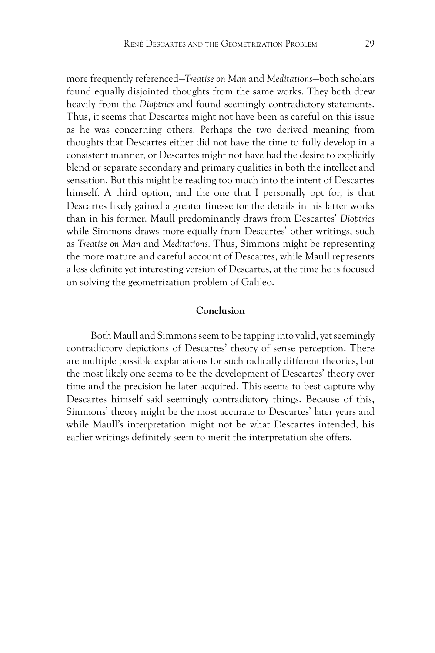more frequently referenced—*Treatise on Man* and *Meditations*—both scholars found equally disjointed thoughts from the same works. They both drew heavily from the *Dioptrics* and found seemingly contradictory statements. Thus, it seems that Descartes might not have been as careful on this issue as he was concerning others. Perhaps the two derived meaning from thoughts that Descartes either did not have the time to fully develop in a consistent manner, or Descartes might not have had the desire to explicitly blend or separate secondary and primary qualities in both the intellect and sensation. But this might be reading too much into the intent of Descartes himself. A third option, and the one that I personally opt for, is that Descartes likely gained a greater finesse for the details in his latter works than in his former. Maull predominantly draws from Descartes' *Dioptrics*  while Simmons draws more equally from Descartes' other writings, such as *Treatise on Man* and *Meditations*. Thus, Simmons might be representing the more mature and careful account of Descartes, while Maull represents a less definite yet interesting version of Descartes, at the time he is focused on solving the geometrization problem of Galileo.

#### **Conclusion**

Both Maull and Simmons seem to be tapping into valid, yet seemingly contradictory depictions of Descartes' theory of sense perception. There are multiple possible explanations for such radically different theories, but the most likely one seems to be the development of Descartes' theory over time and the precision he later acquired. This seems to best capture why Descartes himself said seemingly contradictory things. Because of this, Simmons' theory might be the most accurate to Descartes' later years and while Maull's interpretation might not be what Descartes intended, his earlier writings definitely seem to merit the interpretation she offers.